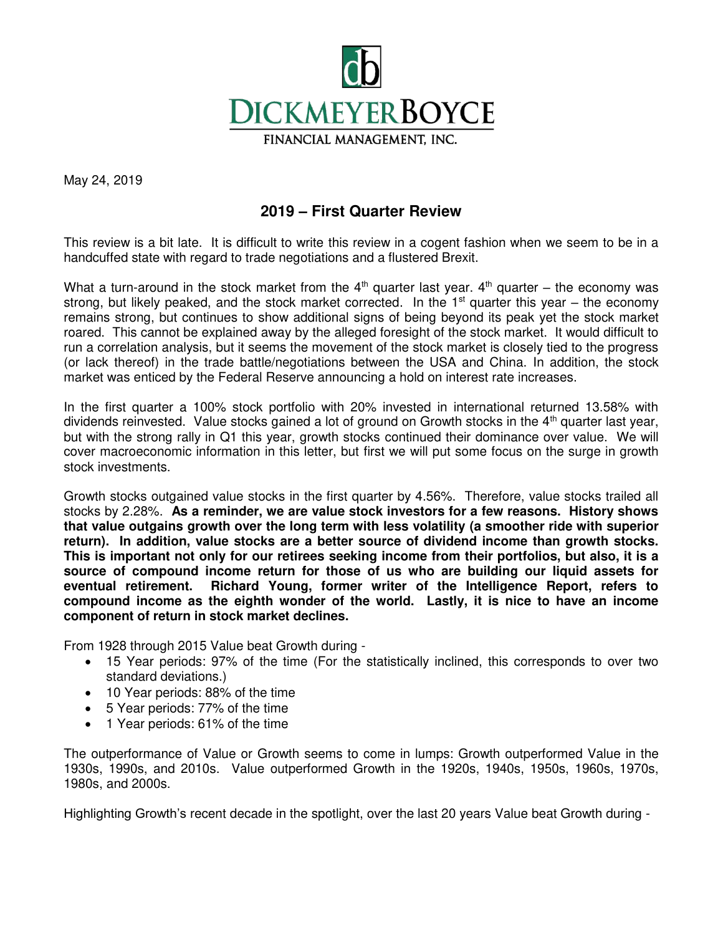

May 24, 2019

## **2019 – First Quarter Review**

This review is a bit late. It is difficult to write this review in a cogent fashion when we seem to be in a handcuffed state with regard to trade negotiations and a flustered Brexit.

What a turn-around in the stock market from the  $4<sup>th</sup>$  quarter last year.  $4<sup>th</sup>$  quarter – the economy was strong, but likely peaked, and the stock market corrected. In the  $1<sup>st</sup>$  quarter this year – the economy remains strong, but continues to show additional signs of being beyond its peak yet the stock market roared. This cannot be explained away by the alleged foresight of the stock market. It would difficult to run a correlation analysis, but it seems the movement of the stock market is closely tied to the progress (or lack thereof) in the trade battle/negotiations between the USA and China. In addition, the stock market was enticed by the Federal Reserve announcing a hold on interest rate increases.

In the first quarter a 100% stock portfolio with 20% invested in international returned 13.58% with dividends reinvested. Value stocks gained a lot of ground on Growth stocks in the 4<sup>th</sup> quarter last year, but with the strong rally in Q1 this year, growth stocks continued their dominance over value. We will cover macroeconomic information in this letter, but first we will put some focus on the surge in growth stock investments.

Growth stocks outgained value stocks in the first quarter by 4.56%. Therefore, value stocks trailed all stocks by 2.28%. **As a reminder, we are value stock investors for a few reasons. History shows that value outgains growth over the long term with less volatility (a smoother ride with superior return). In addition, value stocks are a better source of dividend income than growth stocks. This is important not only for our retirees seeking income from their portfolios, but also, it is a source of compound income return for those of us who are building our liquid assets for eventual retirement. Richard Young, former writer of the Intelligence Report, refers to compound income as the eighth wonder of the world. Lastly, it is nice to have an income component of return in stock market declines.** 

From 1928 through 2015 Value beat Growth during -

- 15 Year periods: 97% of the time (For the statistically inclined, this corresponds to over two standard deviations.)
- 10 Year periods: 88% of the time
- 5 Year periods: 77% of the time
- 1 Year periods: 61% of the time

The outperformance of Value or Growth seems to come in lumps: Growth outperformed Value in the 1930s, 1990s, and 2010s. Value outperformed Growth in the 1920s, 1940s, 1950s, 1960s, 1970s, 1980s, and 2000s.

Highlighting Growth's recent decade in the spotlight, over the last 20 years Value beat Growth during -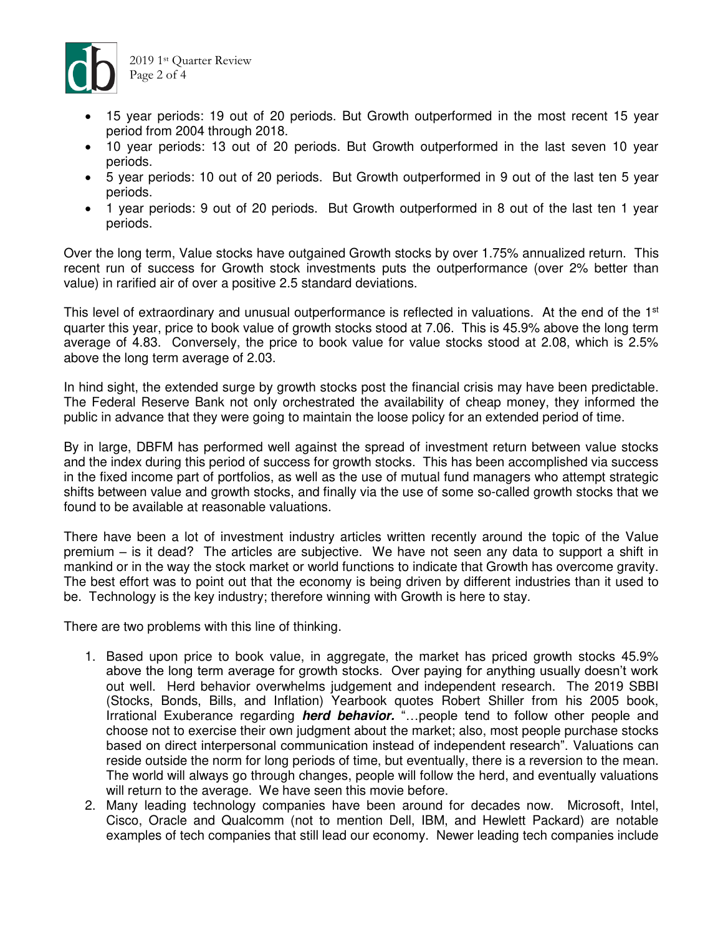

- 15 year periods: 19 out of 20 periods. But Growth outperformed in the most recent 15 year period from 2004 through 2018.
- 10 year periods: 13 out of 20 periods. But Growth outperformed in the last seven 10 year periods.
- 5 year periods: 10 out of 20 periods. But Growth outperformed in 9 out of the last ten 5 year periods.
- 1 year periods: 9 out of 20 periods. But Growth outperformed in 8 out of the last ten 1 year periods.

Over the long term, Value stocks have outgained Growth stocks by over 1.75% annualized return. This recent run of success for Growth stock investments puts the outperformance (over 2% better than value) in rarified air of over a positive 2.5 standard deviations.

This level of extraordinary and unusual outperformance is reflected in valuations. At the end of the 1<sup>st</sup> quarter this year, price to book value of growth stocks stood at 7.06. This is 45.9% above the long term average of 4.83. Conversely, the price to book value for value stocks stood at 2.08, which is 2.5% above the long term average of 2.03.

In hind sight, the extended surge by growth stocks post the financial crisis may have been predictable. The Federal Reserve Bank not only orchestrated the availability of cheap money, they informed the public in advance that they were going to maintain the loose policy for an extended period of time.

By in large, DBFM has performed well against the spread of investment return between value stocks and the index during this period of success for growth stocks. This has been accomplished via success in the fixed income part of portfolios, as well as the use of mutual fund managers who attempt strategic shifts between value and growth stocks, and finally via the use of some so-called growth stocks that we found to be available at reasonable valuations.

There have been a lot of investment industry articles written recently around the topic of the Value premium – is it dead? The articles are subjective. We have not seen any data to support a shift in mankind or in the way the stock market or world functions to indicate that Growth has overcome gravity. The best effort was to point out that the economy is being driven by different industries than it used to be. Technology is the key industry; therefore winning with Growth is here to stay.

There are two problems with this line of thinking.

- 1. Based upon price to book value, in aggregate, the market has priced growth stocks 45.9% above the long term average for growth stocks. Over paying for anything usually doesn't work out well. Herd behavior overwhelms judgement and independent research. The 2019 SBBI (Stocks, Bonds, Bills, and Inflation) Yearbook quotes Robert Shiller from his 2005 book, Irrational Exuberance regarding **herd behavior.** "…people tend to follow other people and choose not to exercise their own judgment about the market; also, most people purchase stocks based on direct interpersonal communication instead of independent research". Valuations can reside outside the norm for long periods of time, but eventually, there is a reversion to the mean. The world will always go through changes, people will follow the herd, and eventually valuations will return to the average. We have seen this movie before.
- 2. Many leading technology companies have been around for decades now. Microsoft, Intel, Cisco, Oracle and Qualcomm (not to mention Dell, IBM, and Hewlett Packard) are notable examples of tech companies that still lead our economy. Newer leading tech companies include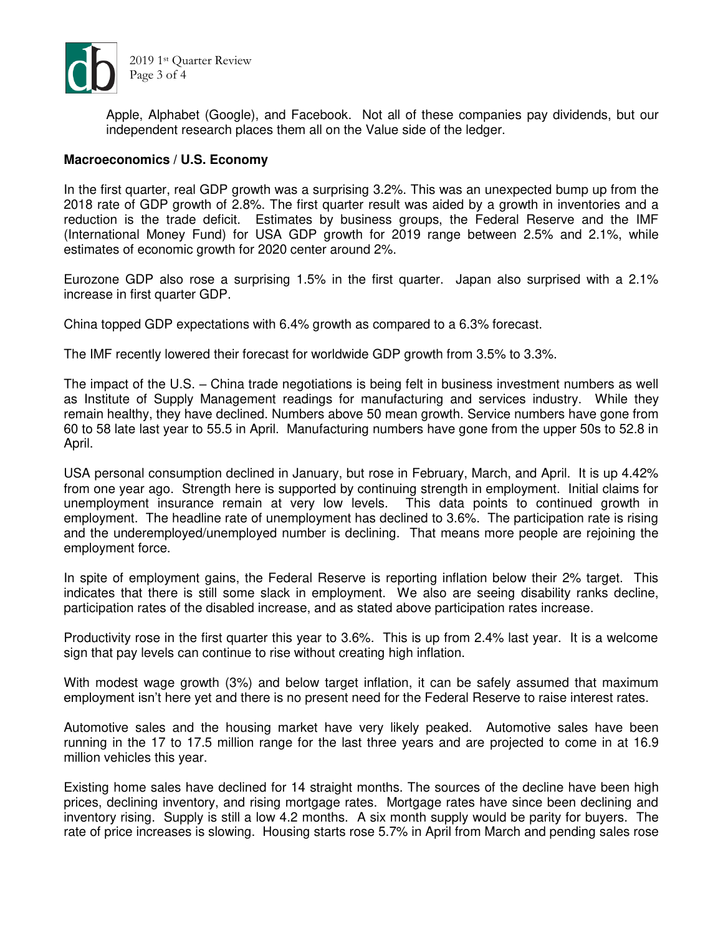

Apple, Alphabet (Google), and Facebook. Not all of these companies pay dividends, but our independent research places them all on the Value side of the ledger.

## **Macroeconomics / U.S. Economy**

In the first quarter, real GDP growth was a surprising 3.2%. This was an unexpected bump up from the 2018 rate of GDP growth of 2.8%. The first quarter result was aided by a growth in inventories and a reduction is the trade deficit. Estimates by business groups, the Federal Reserve and the IMF (International Money Fund) for USA GDP growth for 2019 range between 2.5% and 2.1%, while estimates of economic growth for 2020 center around 2%.

Eurozone GDP also rose a surprising 1.5% in the first quarter. Japan also surprised with a 2.1% increase in first quarter GDP.

China topped GDP expectations with 6.4% growth as compared to a 6.3% forecast.

The IMF recently lowered their forecast for worldwide GDP growth from 3.5% to 3.3%.

The impact of the U.S. – China trade negotiations is being felt in business investment numbers as well as Institute of Supply Management readings for manufacturing and services industry. While they remain healthy, they have declined. Numbers above 50 mean growth. Service numbers have gone from 60 to 58 late last year to 55.5 in April. Manufacturing numbers have gone from the upper 50s to 52.8 in April.

USA personal consumption declined in January, but rose in February, March, and April. It is up 4.42% from one year ago. Strength here is supported by continuing strength in employment. Initial claims for unemployment insurance remain at very low levels. This data points to continued growth in employment. The headline rate of unemployment has declined to 3.6%. The participation rate is rising and the underemployed/unemployed number is declining. That means more people are rejoining the employment force.

In spite of employment gains, the Federal Reserve is reporting inflation below their 2% target. This indicates that there is still some slack in employment. We also are seeing disability ranks decline, participation rates of the disabled increase, and as stated above participation rates increase.

Productivity rose in the first quarter this year to 3.6%. This is up from 2.4% last year. It is a welcome sign that pay levels can continue to rise without creating high inflation.

With modest wage growth (3%) and below target inflation, it can be safely assumed that maximum employment isn't here yet and there is no present need for the Federal Reserve to raise interest rates.

Automotive sales and the housing market have very likely peaked. Automotive sales have been running in the 17 to 17.5 million range for the last three years and are projected to come in at 16.9 million vehicles this year.

Existing home sales have declined for 14 straight months. The sources of the decline have been high prices, declining inventory, and rising mortgage rates. Mortgage rates have since been declining and inventory rising. Supply is still a low 4.2 months. A six month supply would be parity for buyers. The rate of price increases is slowing. Housing starts rose 5.7% in April from March and pending sales rose